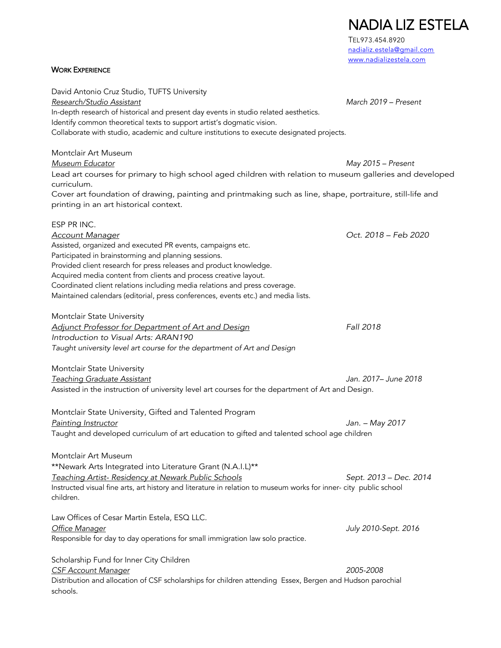NADIA LIZ ESTELA TEL973.454.8920 nadializ.estela@gmail.com www.nadializestela.com **WORK EXPERIENCE** David Antonio Cruz Studio, TUFTS University *Research/Studio Assistant March 2019 – Present* In-depth research of historical and present day events in studio related aesthetics. Identify common theoretical texts to support artist's dogmatic vision. Collaborate with studio, academic and culture institutions to execute designated projects. Montclair Art Museum *Museum Educator May 2015 – Present* Lead art courses for primary to high school aged children with relation to museum galleries and developed curriculum. Cover art foundation of drawing, painting and printmaking such as line, shape, portraiture, still-life and printing in an art historical context. ESP PR INC. *Account Manager Oct. 2018 – Feb 2020* Assisted, organized and executed PR events, campaigns etc. Participated in brainstorming and planning sessions. Provided client research for press releases and product knowledge. Acquired media content from clients and process creative layout. Coordinated client relations including media relations and press coverage. Maintained calendars (editorial, press conferences, events etc.) and media lists. Montclair State University *Adjunct Professor for Department of Art and Design Fall 2018 Introduction to Visual Arts: ARAN190 Taught university level art course for the department of Art and Design* Montclair State University *Teaching Graduate Assistant Jan. 2017– June 2018* Assisted in the instruction of university level art courses for the department of Art and Design. Montclair State University, Gifted and Talented Program *Painting Instructor Jan. – May 2017* Taught and developed curriculum of art education to gifted and talented school age children Montclair Art Museum \*\*Newark Arts Integrated into Literature Grant (N.A.I.L)\*\* *Teaching Artist- Residency at Newark Public Schools Sept. 2013 – Dec. 2014* Instructed visual fine arts, art history and literature in relation to museum works for inner- city public school children. Law Offices of Cesar Martin Estela, ESQ LLC. *Office Manager July 2010-Sept. 2016* Responsible for day to day operations for small immigration law solo practice. Scholarship Fund for Inner City Children *CSF Account Manager 2005-2008* Distribution and allocation of CSF scholarships for children attending Essex, Bergen and Hudson parochial

schools.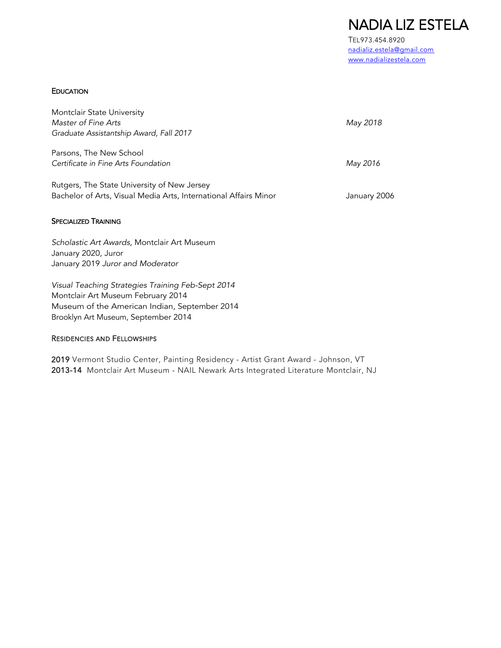NADIA LIZ ESTELA TEL973.454.8920

nadializ.estela@gmail.com www.nadializestela.com

## **EDUCATION**

| Montclair State University<br>Master of Fine Arts<br>Graduate Assistantship Award, Fall 2017                    | May 2018     |
|-----------------------------------------------------------------------------------------------------------------|--------------|
| Parsons, The New School<br>Certificate in Fine Arts Foundation                                                  | May 2016     |
| Rutgers, The State University of New Jersey<br>Bachelor of Arts, Visual Media Arts, International Affairs Minor | January 2006 |

# SPECIALIZED TRAINING

*Scholastic Art Awards,* Montclair Art Museum January 2020, Juror January 2019 *Juror and Moderator* 

*Visual Teaching Strategies Training Feb-Sept 2014*  Montclair Art Museum February 2014 Museum of the American Indian, September 2014 Brooklyn Art Museum, September 2014

## RESIDENCIES AND FELLOWSHIPS

2019 Vermont Studio Center, Painting Residency - Artist Grant Award - Johnson, VT 2013-14 Montclair Art Museum - NAIL Newark Arts Integrated Literature Montclair, NJ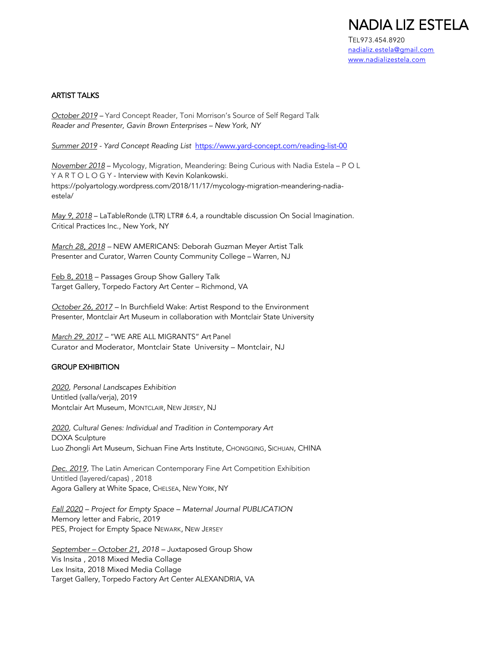

nadializ.estela@gmail.com www.nadializestela.com

#### ARTIST TALKS

*October 2019 –* Yard Concept Reader, Toni Morrison's Source of Self Regard Talk *Reader and Presenter, Gavin Brown Enterprises – New York, NY*

*Summer 2019 - Yard Concept Reading List* https://www.yard-concept.com/reading-list-00

*November 2018* – Mycology, Migration, Meandering: Being Curious with Nadia Estela – P O L Y A R T O L O G Y - Interview with Kevin Kolankowski. https://polyartology.wordpress.com/2018/11/17/mycology-migration-meandering-nadiaestela/

*May 9, 2018* – LaTableRonde (LTR) LTR# 6.4, a roundtable discussion On Social Imagination. Critical Practices Inc., New York, NY

*March 28, 2018 –* NEW AMERICANS: Deborah Guzman Meyer Artist Talk Presenter and Curator, Warren County Community College – Warren, NJ

Feb 8, 2018 – Passages Group Show Gallery Talk Target Gallery, Torpedo Factory Art Center – Richmond, VA

*October 26, 2017 –* In Burchfield Wake: Artist Respond to the Environment Presenter, Montclair Art Museum in collaboration with Montclair State University

*March 29, 2017 –* "WE ARE ALL MIGRANTS" Art Panel Curator and Moderator, Montclair State University – Montclair, NJ

### GROUP EXHIBITION

*2020, Personal Landscapes Exhibition* Untitled (valla/verja), 2019 Montclair Art Museum, MONTCLAIR, NEW JERSEY, NJ

*2020, Cultural Genes: Individual and Tradition in Contemporary Art* DOXA Sculpture Luo Zhongli Art Museum, Sichuan Fine Arts Institute, CHONGQING, SICHUAN, CHINA

*Dec. 2019,* The Latin American Contemporary Fine Art Competition Exhibition Untitled (layered/capas) , 2018 Agora Gallery at White Space, CHELSEA, NEW YORK, NY

*Fall 2020 – Project for Empty Space – Maternal Journal PUBLICATION* Memory letter and Fabric, 2019 PES, Project for Empty Space NEWARK, NEW JERSEY

*September – October 21, 2018 –* Juxtaposed Group Show Vis Insita , 2018 Mixed Media Collage Lex Insita, 2018 Mixed Media Collage Target Gallery, Torpedo Factory Art Center ALEXANDRIA, VA